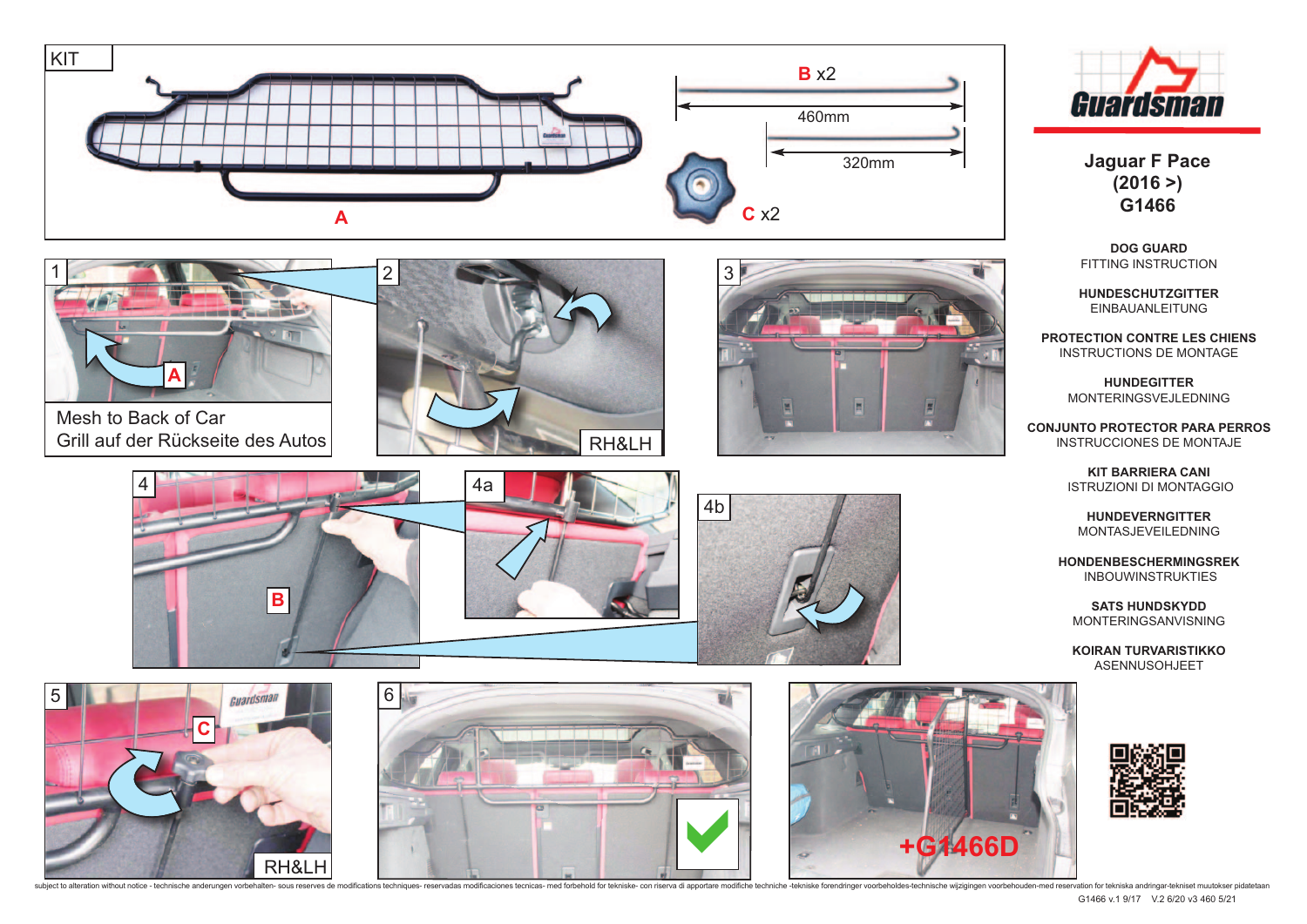



Mesh to Back of Car Grill auf der Rückseite des Autos















**Jaguar F Pace (2016 >) G1466**

**DOG GUARD**  FITTING INSTRUCTION

**HUNDESCHUTZGITTER**  EINBAUANLEITUNG

**PROTECTION CONTRE LES CHIENS**  INSTRUCTIONS DE MONTAGE

> **HUNDEGITTER**  MONTERINGSVEJLEDNING

**CONJUNTO PROTECTOR PARA PERROS** INSTRUCCIONES DE MONTAJE

> **KIT BARRIERA CANI**  ISTRUZIONI DI MONTAGGIO

**HUNDEVERNGITTER** MONTASJEVEILEDNING

**HONDENBESCHERMINGSREK**  INBOUWINSTRUKTIES

**SATS HUNDSKYDD** MONTERINGSANVISNING

**KOIRAN TURVARISTIKKO**  ASENNUSOHJEET



subject to alteration without notice - technische anderungen vorbehalten- sous reserves de modifications techniques- reservadas modifications techniques- reservadas modifications tecnicas- med forbehold for tekniske- con r G1466 v.1 9/17 V.2 6/20 v3 460 5/21